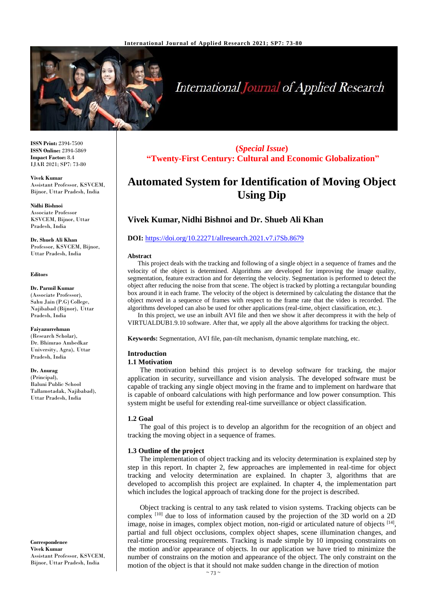

# **International Journal of Applied Research**

**ISSN Print:** 2394-7500 **ISSN Online:** 2394-5869 **Impact Factor:** 8.4 IJAR 2021; SP7: 73-80

**Vivek Kumar** Assistant Professor, KSVCEM, Bijnor, Uttar Pradesh, India

**Nidhi Bishnoi** Associate Professor KSVCEM, Bijnor, Uttar Pradesh, India

**Dr. Shueb Ali Khan** Professor, KSVCEM, Bijnor, Uttar Pradesh, India

#### **Editors**

**Dr. Parmil Kumar** (Associate Professor), Sahu Jain (P.G) College, Najibabad (Bijnor), Uttar Pradesh, India

#### **Faiyazurrehman**

(Research Scholar), Dr. Bhimrao Ambedkar University, Agra), Uttar Pradesh, India

#### **Dr. Anurag**

(Principal), Baluni Public School Tallamotadak, Najibabad), Uttar Pradesh, India

**Correspondence Vivek Kumar** Assistant Professor, KSVCEM, Bijnor, Uttar Pradesh, India

## **(***Special Issue***) "Twenty-First Century: Cultural and Economic Globalization"**

## **Automated System for Identification of Moving Object Using Dip**

## **Vivek Kumar, Nidhi Bishnoi and Dr. Shueb Ali Khan**

#### **DOI:** <https://doi.org/10.22271/allresearch.2021.v7.i7Sb.8679>

#### **Abstract**

This project deals with the tracking and following of a single object in a sequence of frames and the velocity of the object is determined. Algorithms are developed for improving the image quality, segmentation, feature extraction and for deterring the velocity. Segmentation is performed to detect the object after reducing the noise from that scene. The object is tracked by plotting a rectangular bounding box around it in each frame. The velocity of the object is determined by calculating the distance that the object moved in a sequence of frames with respect to the frame rate that the video is recorded. The algorithms developed can also be used for other applications (real-time, object classification, etc.). In this project, we use an inbuilt AVI file and then we show it after decompress it with the help of

VIRTUALDUB1.9.10 software. After that, we apply all the above algorithms for tracking the object.

**Keywords:** Segmentation, AVI file, pan-tilt mechanism, dynamic template matching, etc.

### **Introduction**

#### **1.1 Motivation**

The motivation behind this project is to develop software for tracking, the major application in security, surveillance and vision analysis. The developed software must be capable of tracking any single object moving in the frame and to implement on hardware that is capable of onboard calculations with high performance and low power consumption. This system might be useful for extending real-time surveillance or object classification.

#### **1.2 Goal**

The goal of this project is to develop an algorithm for the recognition of an object and tracking the moving object in a sequence of frames.

#### **1.3 Outline of the project**

The implementation of object tracking and its velocity determination is explained step by step in this report. In chapter 2, few approaches are implemented in real-time for object tracking and velocity determination are explained. In chapter 3, algorithms that are developed to accomplish this project are explained. In chapter 4, the implementation part which includes the logical approach of tracking done for the project is described.

Object tracking is central to any task related to vision systems. Tracking objects can be complex  $[10]$  due to loss of information caused by the projection of the 3D world on a 2D image, noise in images, complex object motion, non-rigid or articulated nature of objects [14], partial and full object occlusions, complex object shapes, scene illumination changes, and real-time processing requirements. Tracking is made simple by 10 imposing constraints on the motion and/or appearance of objects. In our application we have tried to minimize the number of constrains on the motion and appearance of the object. The only constraint on the motion of the object is that it should not make sudden change in the direction of motion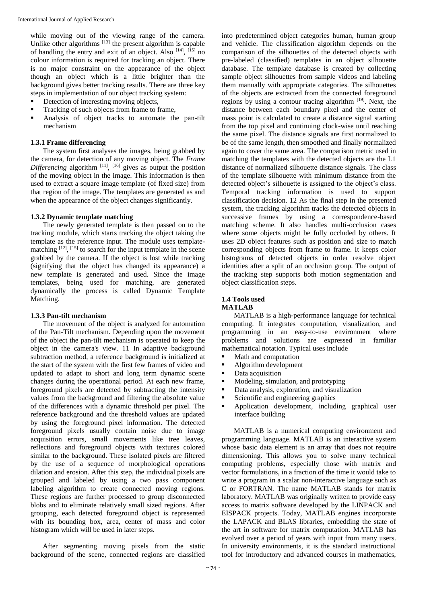while moving out of the viewing range of the camera. Unlike other algorithms  $^{[13]}$  the present algorithm is capable of handling the entry and exit of an object. Also [14], [15] no colour information is required for tracking an object. There is no major constraint on the appearance of the object though an object which is a little brighter than the background gives better tracking results. There are three key steps in implementation of our object tracking system:

- Detection of interesting moving objects,
- Tracking of such objects from frame to frame,
- Analysis of object tracks to automate the pan-tilt mechanism

#### **1.3.1 Frame differencing**

The system first analyses the images, being grabbed by the camera, for detection of any moving object. The *Frame Differencing* algorithm<sup>[11]</sup>,  $[16]$  gives as output the position of the moving object in the image. This information is then used to extract a square image template (of fixed size) from that region of the image. The templates are generated as and when the appearance of the object changes significantly.

#### **1.3.2 Dynamic template matching**

The newly generated template is then passed on to the tracking module, which starts tracking the object taking the template as the reference input. The module uses templatematching  $[12]$ ,  $[15]$  to search for the input template in the scene grabbed by the camera. If the object is lost while tracking (signifying that the object has changed its appearance) a new template is generated and used. Since the image templates, being used for matching, are generated dynamically the process is called Dynamic Template Matching.

#### **1.3.3 Pan-tilt mechanism**

The movement of the object is analyzed for automation of the Pan-Tilt mechanism. Depending upon the movement of the object the pan-tilt mechanism is operated to keep the object in the camera's view. 11 In adaptive background subtraction method, a reference background is initialized at the start of the system with the first few frames of video and updated to adapt to short and long term dynamic scene changes during the operational period. At each new frame, foreground pixels are detected by subtracting the intensity values from the background and filtering the absolute value of the differences with a dynamic threshold per pixel. The reference background and the threshold values are updated by using the foreground pixel information. The detected foreground pixels usually contain noise due to image acquisition errors, small movements like tree leaves, reflections and foreground objects with textures colored similar to the background. These isolated pixels are filtered by the use of a sequence of morphological operations dilation and erosion. After this step, the individual pixels are grouped and labeled by using a two pass component labeling algorithm to create connected moving regions. These regions are further processed to group disconnected blobs and to eliminate relatively small sized regions. After grouping, each detected foreground object is represented with its bounding box, area, center of mass and color histogram which will be used in later steps.

After segmenting moving pixels from the static background of the scene, connected regions are classified into predetermined object categories human, human group and vehicle. The classification algorithm depends on the comparison of the silhouettes of the detected objects with pre-labeled (classified) templates in an object silhouette database. The template database is created by collecting sample object silhouettes from sample videos and labeling them manually with appropriate categories. The silhouettes of the objects are extracted from the connected foreground regions by using a contour tracing algorithm [19]. Next, the distance between each boundary pixel and the center of mass point is calculated to create a distance signal starting from the top pixel and continuing clock-wise until reaching the same pixel. The distance signals are first normalized to be of the same length, then smoothed and finally normalized again to cover the same area. The comparison metric used in matching the templates with the detected objects are the L1 distance of normalized silhouette distance signals. The class of the template silhouette with minimum distance from the detected object's silhouette is assigned to the object's class. Temporal tracking information is used to support classification decision. 12 As the final step in the presented system, the tracking algorithm tracks the detected objects in successive frames by using a correspondence-based matching scheme. It also handles multi-occlusion cases where some objects might be fully occluded by others. It uses 2D object features such as position and size to match corresponding objects from frame to frame. It keeps color histograms of detected objects in order resolve object identities after a split of an occlusion group. The output of the tracking step supports both motion segmentation and object classification steps.

#### **1.4 Tools used MATLAB**

MATLAB is a high-performance language for technical computing. It integrates computation, visualization, and programming in an easy-to-use environment where problems and solutions are expressed in familiar mathematical notation. Typical uses include

- Math and computation
- Algorithm development
- Data acquisition
- Modeling, simulation, and prototyping
- Data analysis, exploration, and visualization
- Scientific and engineering graphics
- Application development, including graphical user interface building

MATLAB is a numerical computing environment and programming language. MATLAB is an interactive system whose basic data element is an array that does not require dimensioning. This allows you to solve many technical computing problems, especially those with matrix and vector formulations, in a fraction of the time it would take to write a program in a scalar non-interactive language such as C or FORTRAN. The name MATLAB stands for matrix laboratory. MATLAB was originally written to provide easy access to matrix software developed by the LINPACK and EISPACK projects. Today, MATLAB engines incorporate the LAPACK and BLAS libraries, embedding the state of the art in software for matrix computation. MATLAB has evolved over a period of years with input from many users. In university environments, it is the standard instructional tool for introductory and advanced courses in mathematics,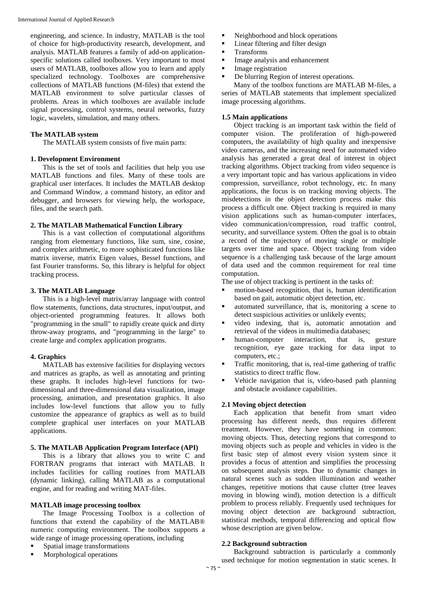engineering, and science. In industry, MATLAB is the tool of choice for high-productivity research, development, and analysis. MATLAB features a family of add-on applicationspecific solutions called toolboxes. Very important to most users of MATLAB, toolboxes allow you to learn and apply specialized technology. Toolboxes are comprehensive collections of MATLAB functions (M-files) that extend the MATLAB environment to solve particular classes of problems. Areas in which toolboxes are available include signal processing, control systems, neural networks, fuzzy logic, wavelets, simulation, and many others.

#### **The MATLAB system**

The MATLAB system consists of five main parts:

#### **1. Development Environment**

This is the set of tools and facilities that help you use MATLAB functions and files. Many of these tools are graphical user interfaces. It includes the MATLAB desktop and Command Window, a command history, an editor and debugger, and browsers for viewing help, the workspace, files, and the search path.

#### **2. The MATLAB Mathematical Function Library**

This is a vast collection of computational algorithms ranging from elementary functions, like sum, sine, cosine, and complex arithmetic, to more sophisticated functions like matrix inverse, matrix Eigen values, Bessel functions, and fast Fourier transforms. So, this library is helpful for object tracking process.

#### **3. The MATLAB Language**

This is a high-level matrix/array language with control flow statements, functions, data structures, input/output, and object-oriented programming features. It allows both "programming in the small" to rapidly create quick and dirty throw-away programs, and "programming in the large" to create large and complex application programs.

#### **4. Graphics**

MATLAB has extensive facilities for displaying vectors and matrices as graphs, as well as annotating and printing these graphs. It includes high-level functions for twodimensional and three-dimensional data visualization, image processing, animation, and presentation graphics. It also includes low-level functions that allow you to fully customize the appearance of graphics as well as to build complete graphical user interfaces on your MATLAB applications.

#### **5. The MATLAB Application Program Interface (API)**

This is a library that allows you to write C and FORTRAN programs that interact with MATLAB. It includes facilities for calling routines from MATLAB (dynamic linking), calling MATLAB as a computational engine, and for reading and writing MAT-files.

#### **MATLAB image processing toolbox**

The Image Processing Toolbox is a collection of functions that extend the capability of the MATLAB® numeric computing environment. The toolbox supports a wide range of image processing operations, including

- Spatial image transformations
- Morphological operations
- Neighborhood and block operations
- Linear filtering and filter design
- **Transforms**
- Image analysis and enhancement
- Image registration
- De blurring Region of interest operations.

Many of the toolbox functions are MATLAB M-files, a series of MATLAB statements that implement specialized image processing algorithms.

#### **1.5 Main applications**

Object tracking is an important task within the field of computer vision. The proliferation of high-powered computers, the availability of high quality and inexpensive video cameras, and the increasing need for automated video analysis has generated a great deal of interest in object tracking algorithms. Object tracking from video sequence is a very important topic and has various applications in video compression, surveillance, robot technology, etc. In many applications, the focus is on tracking moving objects. The misdetections in the object detection process make this process a difficult one. Object tracking is required in many vision applications such as human-computer interfaces, video communication/compression, road traffic control, security, and surveillance system. Often the goal is to obtain a record of the trajectory of moving single or multiple targets over time and space. Object tracking from video sequence is a challenging task because of the large amount of data used and the common requirement for real time computation.

The use of object tracking is pertinent in the tasks of:

- motion-based recognition, that is, human identification based on gait, automatic object detection, etc.
- automated surveillance, that is, monitoring a scene to detect suspicious activities or unlikely events;
- video indexing, that is, automatic annotation and retrieval of the videos in multimedia databases;
- human-computer interaction, that is, gesture recognition, eye gaze tracking for data input to computers, etc.;
- Traffic monitoring, that is, real-time gathering of traffic statistics to direct traffic flow.
- Vehicle navigation that is, video-based path planning and obstacle avoidance capabilities.

#### **2.1 Moving object detection**

Each application that benefit from smart video processing has different needs, thus requires different treatment. However, they have something in common: moving objects. Thus, detecting regions that correspond to moving objects such as people and vehicles in video is the first basic step of almost every vision system since it provides a focus of attention and simplifies the processing on subsequent analysis steps. Due to dynamic changes in natural scenes such as sudden illumination and weather changes, repetitive motions that cause clutter (tree leaves moving in blowing wind), motion detection is a difficult problem to process reliably. Frequently used techniques for moving object detection are background subtraction, statistical methods, temporal differencing and optical flow whose description are given below.

#### **2.2 Background subtraction**

Background subtraction is particularly a commonly used technique for motion segmentation in static scenes. It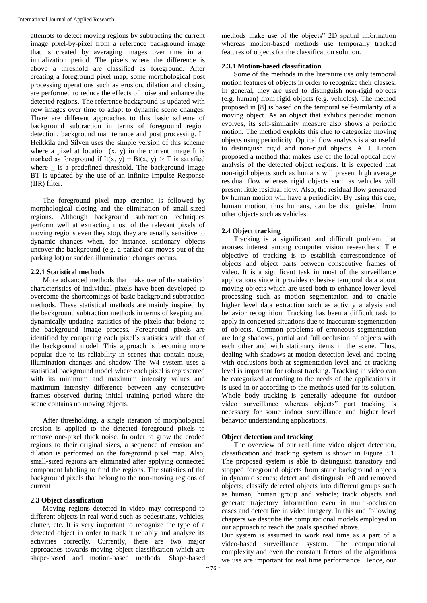attempts to detect moving regions by subtracting the current image pixel-by-pixel from a reference background image that is created by averaging images over time in an initialization period. The pixels where the difference is above a threshold are classified as foreground. After creating a foreground pixel map, some morphological post processing operations such as erosion, dilation and closing are performed to reduce the effects of noise and enhance the detected regions. The reference background is updated with new images over time to adapt to dynamic scene changes. There are different approaches to this basic scheme of background subtraction in terms of foreground region detection, background maintenance and post processing. In Heikkila and Silven uses the simple version of this scheme where a pixel at location (x, y) in the current image It is marked as foreground if It(x, y) – Bt(x, y)| > T is satisfied where  $\equiv$  is a predefined threshold. The background image BT is updated by the use of an Infinite Impulse Response (IIR) filter.

The foreground pixel map creation is followed by morphological closing and the elimination of small-sized regions. Although background subtraction techniques perform well at extracting most of the relevant pixels of moving regions even they stop, they are usually sensitive to dynamic changes when, for instance, stationary objects uncover the background (e.g. a parked car moves out of the parking lot) or sudden illumination changes occurs.

#### **2.2.1 Statistical methods**

More advanced methods that make use of the statistical characteristics of individual pixels have been developed to overcome the shortcomings of basic background subtraction methods. These statistical methods are mainly inspired by the background subtraction methods in terms of keeping and dynamically updating statistics of the pixels that belong to the background image process. Foreground pixels are identified by comparing each pixel's statistics with that of the background model. This approach is becoming more popular due to its reliability in scenes that contain noise, illumination changes and shadow The W4 system uses a statistical background model where each pixel is represented with its minimum and maximum intensity values and maximum intensity difference between any consecutive frames observed during initial training period where the scene contains no moving objects.

After thresholding, a single iteration of morphological erosion is applied to the detected foreground pixels to remove one-pixel thick noise. In order to grow the eroded regions to their original sizes, a sequence of erosion and dilation is performed on the foreground pixel map. Also, small-sized regions are eliminated after applying connected component labeling to find the regions. The statistics of the background pixels that belong to the non-moving regions of current

#### **2.3 Object classification**

Moving regions detected in video may correspond to different objects in real-world such as pedestrians, vehicles, clutter, etc. It is very important to recognize the type of a detected object in order to track it reliably and analyze its activities correctly. Currently, there are two major approaches towards moving object classification which are shape-based and motion-based methods. Shape-based methods make use of the objects" 2D spatial information whereas motion-based methods use temporally tracked features of objects for the classification solution.

#### **2.3.1 Motion-based classification**

Some of the methods in the literature use only temporal motion features of objects in order to recognize their classes. In general, they are used to distinguish non-rigid objects (e.g. human) from rigid objects (e.g. vehicles). The method proposed in [8] is based on the temporal self-similarity of a moving object. As an object that exhibits periodic motion evolves, its self-similarity measure also shows a periodic motion. The method exploits this clue to categorize moving objects using periodicity. Optical flow analysis is also useful to distinguish rigid and non-rigid objects. A. J. Lipton proposed a method that makes use of the local optical flow analysis of the detected object regions. It is expected that non-rigid objects such as humans will present high average residual flow whereas rigid objects such as vehicles will present little residual flow. Also, the residual flow generated by human motion will have a periodicity. By using this cue, human motion, thus humans, can be distinguished from other objects such as vehicles.

#### **2.4 Object tracking**

Tracking is a significant and difficult problem that arouses interest among computer vision researchers. The objective of tracking is to establish correspondence of objects and object parts between consecutive frames of video. It is a significant task in most of the surveillance applications since it provides cohesive temporal data about moving objects which are used both to enhance lower level processing such as motion segmentation and to enable higher level data extraction such as activity analysis and behavior recognition. Tracking has been a difficult task to apply in congested situations due to inaccurate segmentation of objects. Common problems of erroneous segmentation are long shadows, partial and full occlusion of objects with each other and with stationary items in the scene. Thus, dealing with shadows at motion detection level and coping with occlusions both at segmentation level and at tracking level is important for robust tracking. Tracking in video can be categorized according to the needs of the applications it is used in or according to the methods used for its solution. Whole body tracking is generally adequate for outdoor video surveillance whereas objects" part tracking is necessary for some indoor surveillance and higher level behavior understanding applications.

#### **Object detection and tracking**

The overview of our real time video object detection, classification and tracking system is shown in Figure 3.1. The proposed system is able to distinguish transitory and stopped foreground objects from static background objects in dynamic scenes; detect and distinguish left and removed objects; classify detected objects into different groups such as human, human group and vehicle; track objects and generate trajectory information even in multi-occlusion cases and detect fire in video imagery. In this and following chapters we describe the computational models employed in our approach to reach the goals specified above.

Our system is assumed to work real time as a part of a video-based surveillance system. The computational complexity and even the constant factors of the algorithms we use are important for real time performance. Hence, our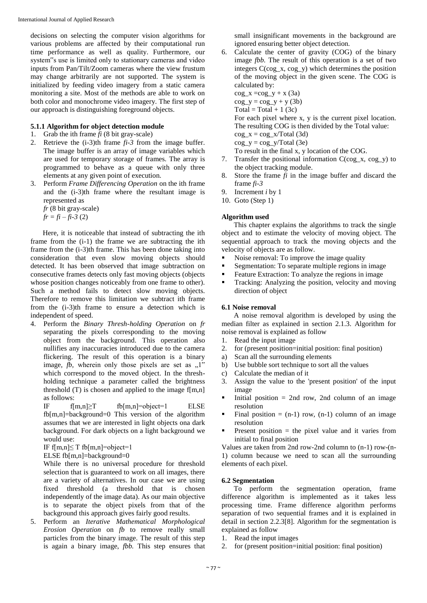decisions on selecting the computer vision algorithms for various problems are affected by their computational run time performance as well as quality. Furthermore, our system"s use is limited only to stationary cameras and video inputs from Pan/Tilt/Zoom cameras where the view frustum may change arbitrarily are not supported. The system is initialized by feeding video imagery from a static camera monitoring a site. Most of the methods are able to work on both color and monochrome video imagery. The first step of our approach is distinguishing foreground objects.

#### **5.1.1 Algorithm for object detection module**

- 1. Grab the ith frame *fi* (8 bit gray-scale)
- 2. Retrieve the (i-3)th frame *fi-3* from the image buffer. The image buffer is an array of image variables which are used for temporary storage of frames. The array is programmed to behave as a queue with only three elements at any given point of execution*.*
- 3. Perform *Frame Differencing Operation* on the ith frame and the (i-3)th frame where the resultant image is represented as

*fr* (8 bit gray-scale)  $fr = \hat{r} - \hat{r} - 3(2)$ 

Here, it is noticeable that instead of subtracting the ith frame from the (i-1) the frame we are subtracting the ith frame from the (i-3)th frame. This has been done taking into consideration that even slow moving objects should detected. It has been observed that image subtraction on consecutive frames detects only fast moving objects (objects whose position changes noticeably from one frame to other). Such a method fails to detect slow moving objects. Therefore to remove this limitation we subtract ith frame from the (i-3)th frame to ensure a detection which is independent of speed.

4. Perform the *Binary Thresh-holding Operation* on *fr*  separating the pixels corresponding to the moving object from the background. This operation also nullifies any inaccuracies introduced due to the camera flickering. The result of this operation is a binary image,  $\overrightarrow{p}$ , wherein only those pixels are set as  $n!$ which correspond to the moved object. In the threshholding technique a parameter called the brightness threshold (T) is chosen and applied to the image f[m,n] as follows:

IF  $f[m,n] \geq T$  fb $[m,n] = object = 1$  ELSE fb[m,n]=background=0 This version of the algorithm assumes that we are interested in light objects ona dark background. For dark objects on a light background we would use:

IF  $f[m,n] \leq T$  fb $[m,n] = object = 1$ 

ELSE fb[m,n]=background=0

While there is no universal procedure for threshold selection that is guaranteed to work on all images, there are a variety of alternatives. In our case we are using fixed threshold (a threshold that is chosen independently of the image data). As our main objective is to separate the object pixels from that of the background this approach gives fairly good results.

5. Perform an *Iterative Mathematical Morphological Erosion Operation* on *fb* to remove really small particles from the binary image. The result of this step is again a binary image, *fbb.* This step ensures that small insignificant movements in the background are ignored ensuring better object detection.

- 6. Calculate the center of gravity (COG) of the binary image *fbb.* The result of this operation is a set of two integers C(cog\_x, cog\_y) which determines the position of the moving object in the given scene. The COG is calculated by:
	- $\cos_2 x = \cos_2 y + x (3a)$  $\text{cog}_y = \text{cog}_y + \text{y}$  (3b)  $Total = Total + 1 (3c)$
	- For each pixel where x, y is the current pixel location. The resulting COG is then divided by the Total value:
	- $\cos x = \cos x / \text{Total} (3d)$  $\cos_y = \cos_y / \text{Total}$  (3e)

To result in the final x, y location of the COG.

- 7. Transfer the positional information C(cog\_x, cog\_y) to the object tracking module.
- 8. Store the frame *fi* in the image buffer and discard the frame *fi-3*
- 9. Increment *i* by 1
- 10. Goto (Step 1)

#### **Algorithm used**

This chapter explains the algorithms to track the single object and to estimate the velocity of moving object. The sequential approach to track the moving objects and the velocity of objects are as follow.

- Noise removal: To improve the image quality
- Segmentation: To separate multiple regions in image
- Feature Extraction: To analyze the regions in image
- **Tracking: Analyzing the position, velocity and moving** direction of object

#### **6.1 Noise removal**

A noise removal algorithm is developed by using the median filter as explained in section 2.1.3. Algorithm for noise removal is explained as follow

- 1. Read the input image
- 2. for (present position=initial position: final position)
- a) Scan all the surrounding elements
- b) Use bubble sort technique to sort all the values
- c) Calculate the median of it
- 3. Assign the value to the 'present position' of the input image
- Initial position  $= 2nd$  row, 2nd column of an image resolution
- Final position =  $(n-1)$  row,  $(n-1)$  column of an image resolution
- Present position = the pixel value and it varies from initial to final position

Values are taken from 2nd row-2nd column to (n-1) row-(n-1) column because we need to scan all the surrounding elements of each pixel.

#### **6.2 Segmentation**

To perform the segmentation operation, frame difference algorithm is implemented as it takes less processing time. Frame difference algorithm performs separation of two sequential frames and it is explained in detail in section 2.2.3[8]. Algorithm for the segmentation is explained as follow

- 1. Read the input images
- 2. for (present position=initial position: final position)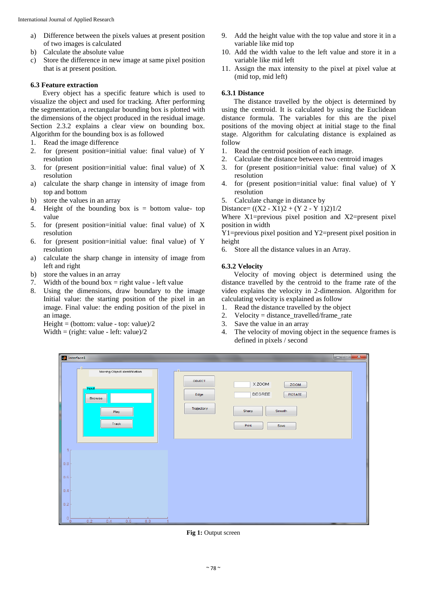- a) Difference between the pixels values at present position of two images is calculated
- b) Calculate the absolute value
- c) Store the difference in new image at same pixel position that is at present position.

#### **6.3 Feature extraction**

Every object has a specific feature which is used to visualize the object and used for tracking. After performing the segmentation, a rectangular bounding box is plotted with the dimensions of the object produced in the residual image. Section 2.3.2 explains a clear view on bounding box. Algorithm for the bounding box is as followed

- 1. Read the image difference
- 2. for (present position=initial value: final value) of Y resolution
- 3. for (present position=initial value: final value) of X resolution
- a) calculate the sharp change in intensity of image from top and bottom
- b) store the values in an array
- 4. Height of the bounding box is = bottom value- top value
- 5. for (present position=initial value: final value) of X resolution
- 6. for (present position=initial value: final value) of Y resolution
- a) calculate the sharp change in intensity of image from left and right
- b) store the values in an array

 $\sqrt{2}$ 

- 7. Width of the bound box  $=$  right value left value
- 8. Using the dimensions, draw boundary to the image Initial value: the starting position of the pixel in an image. Final value: the ending position of the pixel in an image.

Height = (bottom: value - top: value)/2

Width = (right: value - left: value)/2

- 9. Add the height value with the top value and store it in a variable like mid top
- 10. Add the width value to the left value and store it in a variable like mid left
- 11. Assign the max intensity to the pixel at pixel value at (mid top, mid left)

#### **6.3.1 Distance**

The distance travelled by the object is determined by using the centroid. It is calculated by using the Euclidean distance formula. The variables for this are the pixel positions of the moving object at initial stage to the final stage. Algorithm for calculating distance is explained as follow

- 1. Read the centroid position of each image.
- 2. Calculate the distance between two centroid images
- 3. for (present position=initial value: final value) of X resolution
- 4. for (present position=initial value: final value) of Y resolution
- 5. Calculate change in distance by
- Distance=  $((X2 X1)2 + (Y 2 Y 1)2)1/2$

Where  $X1$ =previous pixel position and  $X2$ =present pixel position in width

Y1=previous pixel position and Y2=present pixel position in height

6. Store all the distance values in an Array.

#### **6.3.2 Velocity**

Velocity of moving object is determined using the distance travelled by the centroid to the frame rate of the video explains the velocity in 2-dimension. Algorithm for calculating velocity is explained as follow

- 1. Read the distance travelled by the object
- 2. Velocity = distance travelled/frame rate
- 3. Save the value in an array
- 4. The velocity of moving object in the sequence frames is defined in pixels / second

| <b><i>DA Interface1</i></b>                       | ر د سال د ست                                                                                                  |
|---------------------------------------------------|---------------------------------------------------------------------------------------------------------------|
|                                                   |                                                                                                               |
| Moving Object identification                      |                                                                                                               |
| -Input<br><b>Browse</b><br>Play<br>Track          | OBJECT<br>X ZOOM<br>ZOOM<br>DEGREE<br>Edge<br><b>ROTATE</b><br>Trajectory<br>Sharp<br>Smooth<br>Print<br>Save |
| 1 <sub>r</sub><br>0.8<br>0.6<br>0.4               |                                                                                                               |
| 0.2<br>0 <sub>L</sub><br>0.8<br>0.2<br>0.4<br>0.6 |                                                                                                               |

**Fig 1:** Output screen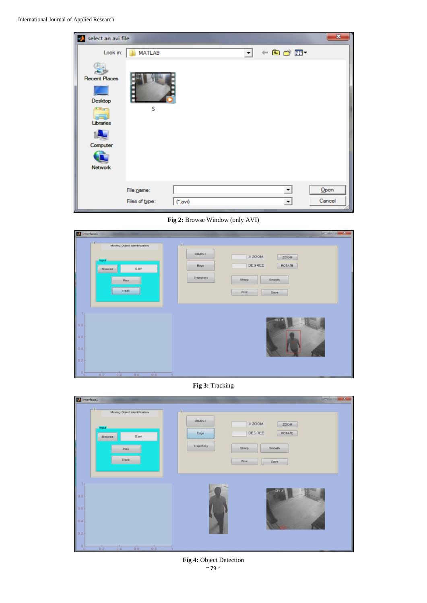| select an avi file<br>ы                                                 |                |         |   |                                    |                      | $\overline{\mathbf{x}}$ |
|-------------------------------------------------------------------------|----------------|---------|---|------------------------------------|----------------------|-------------------------|
| Look in:                                                                | <b>MATLAB</b>  |         | ᅬ | $+ \boxdot \Uparrow \boxdot \star$ |                      |                         |
| <b>Recent Places</b><br>Desktop<br><b>1800</b><br>Libraries<br>Computer | S              |         |   |                                    |                      |                         |
| <b>Network</b>                                                          |                |         |   |                                    |                      |                         |
|                                                                         | File name:     |         |   |                                    | ▼                    | Qpen                    |
|                                                                         | Files of type: | ('.avi) |   |                                    | $\blacktriangledown$ | Cancel                  |

**Fig 2:** Browse Window (only AVI)

| $\blacksquare$ interface1                                               |            | <b>READERS</b>   |
|-------------------------------------------------------------------------|------------|------------------|
| Moving Object identification                                            |            |                  |
| Input-                                                                  | OBJECT     | X ZOOM<br>ZOOM   |
| S.avi<br>Browse                                                         | Edge       | DEGREE<br>ROTATE |
| Play                                                                    | Trajectory | Sharp<br>Smooth  |
| Track                                                                   |            | Print<br>Save    |
|                                                                         |            |                  |
| 1 <sub>r</sub>                                                          |            | CH <sub>2</sub>  |
| 0.8                                                                     |            |                  |
| 0.6                                                                     |            |                  |
| 0.4                                                                     |            |                  |
| 0.2                                                                     |            |                  |
|                                                                         |            |                  |
| 0 <sup>1</sup><br>-11<br>$\sim$<br>0.2<br>0.8<br>0.4<br>0.6<br>$\Omega$ |            |                  |

**Fig 3:** Tracking

| $\rightarrow$ interface1                                                  | $\mathbf{x}$<br><b>ROBBER</b>                                                                          |
|---------------------------------------------------------------------------|--------------------------------------------------------------------------------------------------------|
| Moving Object identification<br>Input<br>S.avi<br>Browse<br>Play<br>Track | OBJECT<br>X ZOOM<br>ZOOM<br>DEGREE<br>ROTATE<br>Edge<br>Trajectory<br>Sharp<br>Smooth<br>Print<br>Save |
| 1 <sub>r</sub><br>0.8<br> 0.6 <br>0.4<br> 0.2                             | $\sim$<br>CH <sub>2</sub>                                                                              |
| $\overline{0}$<br>$\overline{1}$<br>$\sim$<br>0.2<br>0.4<br>0.6<br>0.8    |                                                                                                        |

 $\sim$  79  $\sim$ **Fig 4:** Object Detection